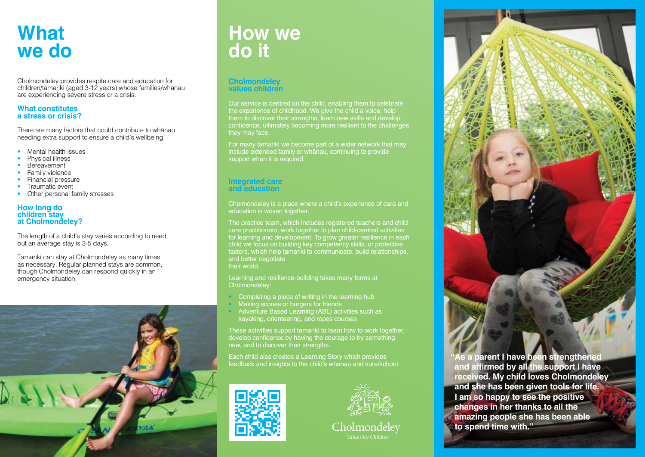## **What we do**

Cholmondeley provides respite care and education for children/tamariki (aged 3-12 years) whose families/whānau are experiencing severe stress or a crisis.

#### **What constitutes a stress or crisis?**

There are many factors that could contribute to whānau needing extra support to ensure a child's wellbeing:

- Mental health issues
- Physical illness
- **Bereavement**
- Family violence
- Financial pressure
- Traumatic event
- Other personal family stresses

#### **How long do children stay at Cholmondeley?**

The length of a child's stay varies according to need, but an average stay is 3-5 days.

Tamariki can stay at Cholmondeley as many times as necessary. Regular planned stays are common, though Cholmondeley can respond quickly in an emergency situation.



## **How we do it**

#### **Cholmondeley values children**

Our service is centred on the child, enabling them to celebrate the experience of childhood. We give the child a voice, help them to discover their strengths, learn new skills and develop confidence, ultimately becoming more resilient to the challenges they may face.

For many tamariki we become part of a wider network that may include extended family or whānau, continuing to provide support when it is required.

#### **Integrated care and education**

Cholmondeley is a place where a child's experience of care and education is woven together.

The practice team, which includes registered teachers and child care practitioners, work together to plan child-centred activities for learning and development. To grow greater resilience in each child we focus on building key competency skills, or protective factors, which help tamariki to communicate, build relationships, and better negotiate their world.

Learning and resilience-building takes many forms at Cholmondeley:

- Completing a piece of writing in the learning hub Making scones or burgers for friends
- Adventure Based Learning (ABL) activities such as kayaking, orienteering, and ropes courses

These activities support tamariki to learn how to work together. develop confidence by having the courage to try something new, and to discover their strengths.

Each child also creates a Learning Story which provides feedback and insights to the child's whānau and kura/school.









**I am so happy to see the positive changes in her thanks to all the amazing people she has been able to spend time with."**